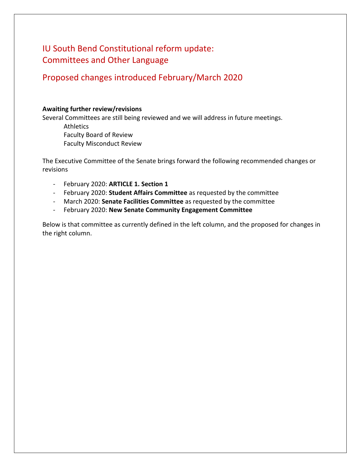# IU South Bend Constitutional reform update: Committees and Other Language

# Proposed changes introduced February/March 2020

### **Awaiting further review/revisions**

Several Committees are still being reviewed and we will address in future meetings.

**Athletics** Faculty Board of Review Faculty Misconduct Review

The Executive Committee of the Senate brings forward the following recommended changes or revisions

- February 2020: **ARTICLE 1. Section 1**
- February 2020: **Student Affairs Committee** as requested by the committee
- March 2020: **Senate Facilities Committee** as requested by the committee
- February 2020: **New Senate Community Engagement Committee**

Below is that committee as currently defined in the left column, and the proposed for changes in the right column.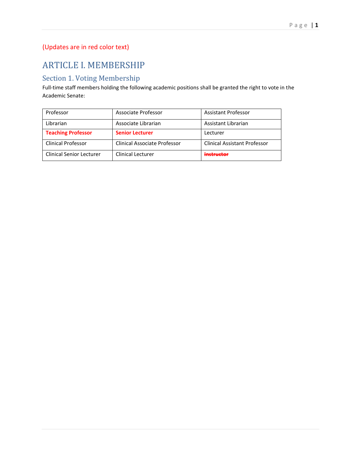# (Updates are in red color text)

# ARTICLE I. MEMBERSHIP

### Section 1. Voting Membership

Full-time staff members holding the following academic positions shall be granted the right to vote in the Academic Senate:

| Professor                       | Associate Professor          | <b>Assistant Professor</b>          |
|---------------------------------|------------------------------|-------------------------------------|
| Librarian                       | Associate Librarian          | Assistant Librarian                 |
| <b>Teaching Professor</b>       | <b>Senior Lecturer</b>       | Lecturer                            |
| <b>Clinical Professor</b>       | Clinical Associate Professor | <b>Clinical Assistant Professor</b> |
| <b>Clinical Senior Lecturer</b> | <b>Clinical Lecturer</b>     | netructor                           |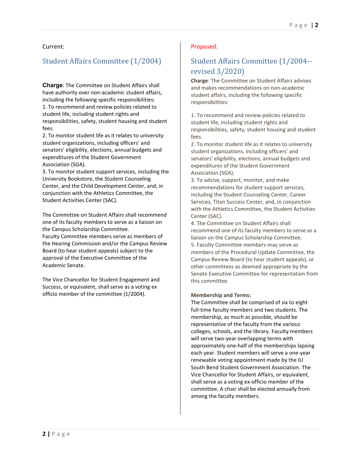### Current:

### Student Affairs Committee (1/2004)

**Charge**: The Committee on Student Affairs shall have authority over non-academic student affairs, including the following specific responsibilities: 1. To recommend and review policies related to student life, including student rights and responsibilities, safety, student housing and student fees.

2. To monitor student life as it relates to university student organizations, including officers' and senators' eligibility, elections, annual budgets and expenditures of the Student Government Association (SGA).

3. To monitor student support services, including the University Bookstore, the Student Counseling Center, and the Child Development Center, and, in conjunction with the Athletics Committee, the Student Activities Center (SAC).

The Committee on Student Affairs shall recommend one of its faculty members to serve as a liaison on the Campus Scholarship Committee. Faculty Committee members serve as members of the Hearing Commission and/or the Campus Review Board (to hear student appeals) subject to the approval of the Executive Committee of the

The Vice Chancellor for Student Engagement and Success, or equivalent, shall serve as a voting ex officio member of the committee (1/2004).

### Proposed:

# Student Affairs Committee (1/2004- revised 3/2020)

**Charge**: The Committee on Student Affairs advises and makes recommendations on non-academic student affairs, including the following specific responsibilities:

1. To recommend and review policies related to student life, including student rights and responsibilities, safety, student housing and student fees.

2. To monitor student life as it relates to university student organizations, including officers' and senators' eligibility, elections, annual budgets and expenditures of the Student Government Association (SGA).

3. To advise, support, monitor, and make recommendations for student support services, including the Student Counseling Center, Career Services, Titan Success Center, and, in conjunction with the Athletics Committee, the Student Activities Center (SAC).

4. The Committee on Student Affairs shall recommend one of its faculty members to serve as a liaison on the Campus Scholarship Committee. 5. Faculty Committee members may serve as members of the Procedural Update Committee, the Campus Review Board (to hear student appeals), or other committees as deemed appropriate by the Senate Executive Committee for representation from this committee.

### **Membership and Terms:**

The Committee shall be comprised of six to eight full-time faculty members and two students. The membership, as much as possible, should be representative of the faculty from the various colleges, schools, and the library. Faculty members will serve two-year overlapping terms with approximately one-half of the memberships lapsing each year. Student members will serve a one-year renewable voting appointment made by the IU South Bend Student Government Association. The Vice Chancellor for Student Affairs, or equivalent, shall serve as a voting ex-officio member of the committee. A chair shall be elected annually from among the faculty members.

Academic Senate.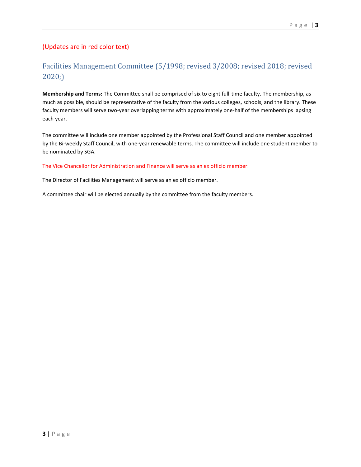### (Updates are in red color text)

## Facilities Management Committee (5/1998; revised 3/2008; revised 2018; revised 2020;)

**Membership and Terms:** The Committee shall be comprised of six to eight full-time faculty. The membership, as much as possible, should be representative of the faculty from the various colleges, schools, and the library. These faculty members will serve two-year overlapping terms with approximately one-half of the memberships lapsing each year.

The committee will include one member appointed by the Professional Staff Council and one member appointed by the Bi-weekly Staff Council, with one-year renewable terms. The committee will include one student member to be nominated by SGA.

#### The Vice Chancellor for Administration and Finance will serve as an ex officio member.

The Director of Facilities Management will serve as an ex officio member.

A committee chair will be elected annually by the committee from the faculty members.